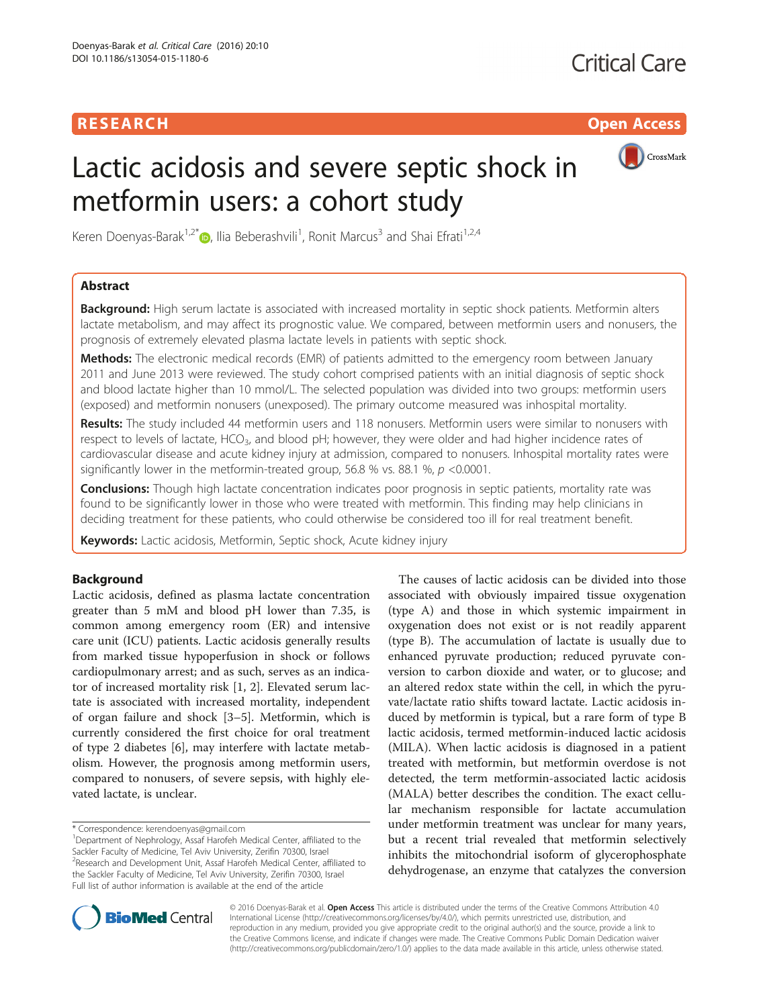## **RESEARCH CHILD CONTROL** CONTROL CONTROL CONTROL CONTROL CONTROL CONTROL CONTROL CONTROL CONTROL CONTROL CONTROL

# CrossMark

# Lactic acidosis and severe septic shock in metformin users: a cohort study

Keren Doenyas-Barak<sup>1,2[\\*](http://orcid.org/0000-0002-9212-5075)</sup>®, Ilia Beberashvili<sup>1</sup>, Ronit Marcus<sup>3</sup> and Shai Efrati<sup>1,2,4</sup>

## Abstract

Background: High serum lactate is associated with increased mortality in septic shock patients. Metformin alters lactate metabolism, and may affect its prognostic value. We compared, between metformin users and nonusers, the prognosis of extremely elevated plasma lactate levels in patients with septic shock.

Methods: The electronic medical records (EMR) of patients admitted to the emergency room between January 2011 and June 2013 were reviewed. The study cohort comprised patients with an initial diagnosis of septic shock and blood lactate higher than 10 mmol/L. The selected population was divided into two groups: metformin users (exposed) and metformin nonusers (unexposed). The primary outcome measured was inhospital mortality.

Results: The study included 44 metformin users and 118 nonusers. Metformin users were similar to nonusers with respect to levels of lactate, HCO<sub>3</sub>, and blood pH; however, they were older and had higher incidence rates of cardiovascular disease and acute kidney injury at admission, compared to nonusers. Inhospital mortality rates were significantly lower in the metformin-treated group, 56.8 % vs. 88.1 %,  $p$  <0.0001.

**Conclusions:** Though high lactate concentration indicates poor prognosis in septic patients, mortality rate was found to be significantly lower in those who were treated with metformin. This finding may help clinicians in deciding treatment for these patients, who could otherwise be considered too ill for real treatment benefit.

Keywords: Lactic acidosis, Metformin, Septic shock, Acute kidney injury

## Background

Lactic acidosis, defined as plasma lactate concentration greater than 5 mM and blood pH lower than 7.35, is common among emergency room (ER) and intensive care unit (ICU) patients. Lactic acidosis generally results from marked tissue hypoperfusion in shock or follows cardiopulmonary arrest; and as such, serves as an indicator of increased mortality risk [\[1](#page-5-0), [2](#page-5-0)]. Elevated serum lactate is associated with increased mortality, independent of organ failure and shock [\[3](#page-5-0)–[5](#page-5-0)]. Metformin, which is currently considered the first choice for oral treatment of type 2 diabetes [\[6](#page-5-0)], may interfere with lactate metabolism. However, the prognosis among metformin users, compared to nonusers, of severe sepsis, with highly elevated lactate, is unclear.

\* Correspondence: [kerendoenyas@gmail.com](mailto:kerendoenyas@gmail.com) <sup>1</sup>

<sup>1</sup>Department of Nephrology, Assaf Harofeh Medical Center, affiliated to the Sackler Faculty of Medicine, Tel Aviv University, Zerifin 70300, Israel <sup>2</sup> Research and Development Unit, Assaf Harofeh Medical Center, affiliated to the Sackler Faculty of Medicine, Tel Aviv University, Zerifin 70300, Israel Full list of author information is available at the end of the article

The causes of lactic acidosis can be divided into those associated with obviously impaired tissue oxygenation (type A) and those in which systemic impairment in oxygenation does not exist or is not readily apparent (type B). The accumulation of lactate is usually due to enhanced pyruvate production; reduced pyruvate conversion to carbon dioxide and water, or to glucose; and an altered redox state within the cell, in which the pyruvate/lactate ratio shifts toward lactate. Lactic acidosis induced by metformin is typical, but a rare form of type B lactic acidosis, termed metformin-induced lactic acidosis (MILA). When lactic acidosis is diagnosed in a patient treated with metformin, but metformin overdose is not detected, the term metformin-associated lactic acidosis (MALA) better describes the condition. The exact cellular mechanism responsible for lactate accumulation under metformin treatment was unclear for many years, but a recent trial revealed that metformin selectively inhibits the mitochondrial isoform of glycerophosphate dehydrogenase, an enzyme that catalyzes the conversion



© 2016 Doenyas-Barak et al. Open Access This article is distributed under the terms of the Creative Commons Attribution 4.0 International License [\(http://creativecommons.org/licenses/by/4.0/](http://creativecommons.org/licenses/by/4.0/)), which permits unrestricted use, distribution, and reproduction in any medium, provided you give appropriate credit to the original author(s) and the source, provide a link to the Creative Commons license, and indicate if changes were made. The Creative Commons Public Domain Dedication waiver [\(http://creativecommons.org/publicdomain/zero/1.0/](http://creativecommons.org/publicdomain/zero/1.0/)) applies to the data made available in this article, unless otherwise stated.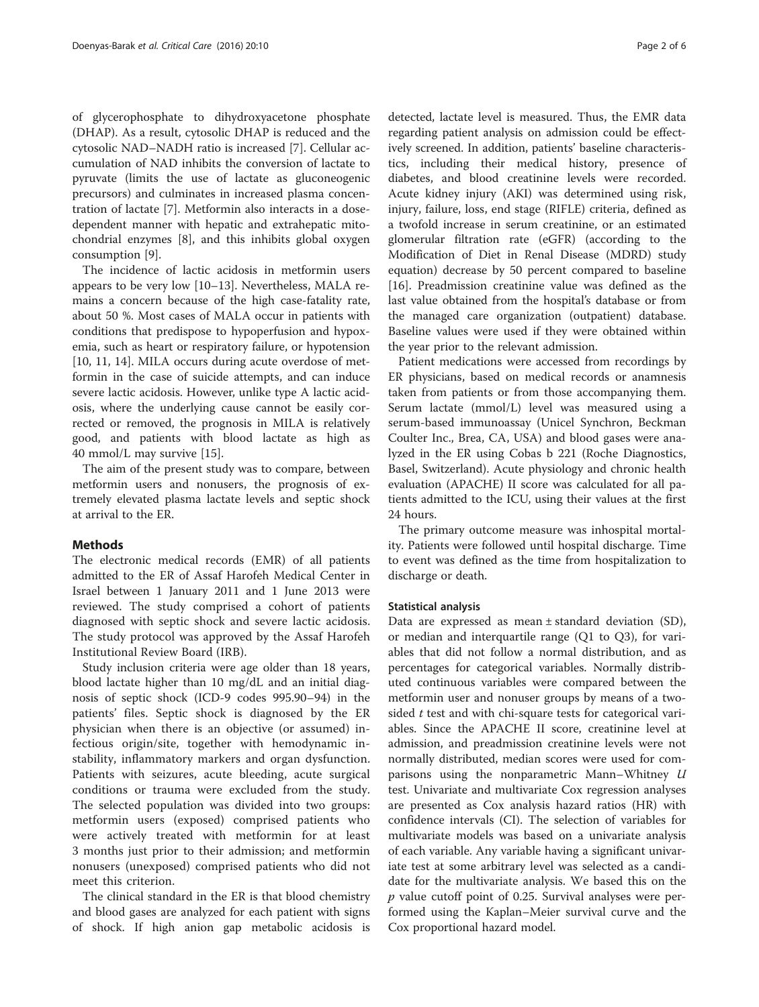of glycerophosphate to dihydroxyacetone phosphate (DHAP). As a result, cytosolic DHAP is reduced and the cytosolic NAD–NADH ratio is increased [\[7](#page-5-0)]. Cellular accumulation of NAD inhibits the conversion of lactate to pyruvate (limits the use of lactate as gluconeogenic precursors) and culminates in increased plasma concentration of lactate [\[7](#page-5-0)]. Metformin also interacts in a dosedependent manner with hepatic and extrahepatic mitochondrial enzymes [[8\]](#page-5-0), and this inhibits global oxygen consumption [[9](#page-5-0)].

The incidence of lactic acidosis in metformin users appears to be very low [[10](#page-5-0)–[13](#page-5-0)]. Nevertheless, MALA remains a concern because of the high case-fatality rate, about 50 %. Most cases of MALA occur in patients with conditions that predispose to hypoperfusion and hypoxemia, such as heart or respiratory failure, or hypotension [[10, 11, 14\]](#page-5-0). MILA occurs during acute overdose of metformin in the case of suicide attempts, and can induce severe lactic acidosis. However, unlike type A lactic acidosis, where the underlying cause cannot be easily corrected or removed, the prognosis in MILA is relatively good, and patients with blood lactate as high as 40 mmol/L may survive [[15](#page-5-0)].

The aim of the present study was to compare, between metformin users and nonusers, the prognosis of extremely elevated plasma lactate levels and septic shock at arrival to the ER.

## **Methods**

The electronic medical records (EMR) of all patients admitted to the ER of Assaf Harofeh Medical Center in Israel between 1 January 2011 and 1 June 2013 were reviewed. The study comprised a cohort of patients diagnosed with septic shock and severe lactic acidosis. The study protocol was approved by the Assaf Harofeh Institutional Review Board (IRB).

Study inclusion criteria were age older than 18 years, blood lactate higher than 10 mg/dL and an initial diagnosis of septic shock (ICD-9 codes 995.90–94) in the patients' files. Septic shock is diagnosed by the ER physician when there is an objective (or assumed) infectious origin/site, together with hemodynamic instability, inflammatory markers and organ dysfunction. Patients with seizures, acute bleeding, acute surgical conditions or trauma were excluded from the study. The selected population was divided into two groups: metformin users (exposed) comprised patients who were actively treated with metformin for at least 3 months just prior to their admission; and metformin nonusers (unexposed) comprised patients who did not meet this criterion.

The clinical standard in the ER is that blood chemistry and blood gases are analyzed for each patient with signs of shock. If high anion gap metabolic acidosis is

detected, lactate level is measured. Thus, the EMR data regarding patient analysis on admission could be effectively screened. In addition, patients' baseline characteristics, including their medical history, presence of diabetes, and blood creatinine levels were recorded. Acute kidney injury (AKI) was determined using risk, injury, failure, loss, end stage (RIFLE) criteria, defined as a twofold increase in serum creatinine, or an estimated glomerular filtration rate (eGFR) (according to the Modification of Diet in Renal Disease (MDRD) study equation) decrease by 50 percent compared to baseline [[16\]](#page-5-0). Preadmission creatinine value was defined as the last value obtained from the hospital's database or from the managed care organization (outpatient) database. Baseline values were used if they were obtained within the year prior to the relevant admission.

Patient medications were accessed from recordings by ER physicians, based on medical records or anamnesis taken from patients or from those accompanying them. Serum lactate (mmol/L) level was measured using a serum-based immunoassay (Unicel Synchron, Beckman Coulter Inc., Brea, CA, USA) and blood gases were analyzed in the ER using Cobas b 221 (Roche Diagnostics, Basel, Switzerland). Acute physiology and chronic health evaluation (APACHE) II score was calculated for all patients admitted to the ICU, using their values at the first 24 hours.

The primary outcome measure was inhospital mortality. Patients were followed until hospital discharge. Time to event was defined as the time from hospitalization to discharge or death.

## Statistical analysis

Data are expressed as mean ± standard deviation (SD), or median and interquartile range (Q1 to Q3), for variables that did not follow a normal distribution, and as percentages for categorical variables. Normally distributed continuous variables were compared between the metformin user and nonuser groups by means of a twosided  $t$  test and with chi-square tests for categorical variables. Since the APACHE II score, creatinine level at admission, and preadmission creatinine levels were not normally distributed, median scores were used for comparisons using the nonparametric Mann–Whitney U test. Univariate and multivariate Cox regression analyses are presented as Cox analysis hazard ratios (HR) with confidence intervals (CI). The selection of variables for multivariate models was based on a univariate analysis of each variable. Any variable having a significant univariate test at some arbitrary level was selected as a candidate for the multivariate analysis. We based this on the  $p$  value cutoff point of 0.25. Survival analyses were performed using the Kaplan–Meier survival curve and the Cox proportional hazard model.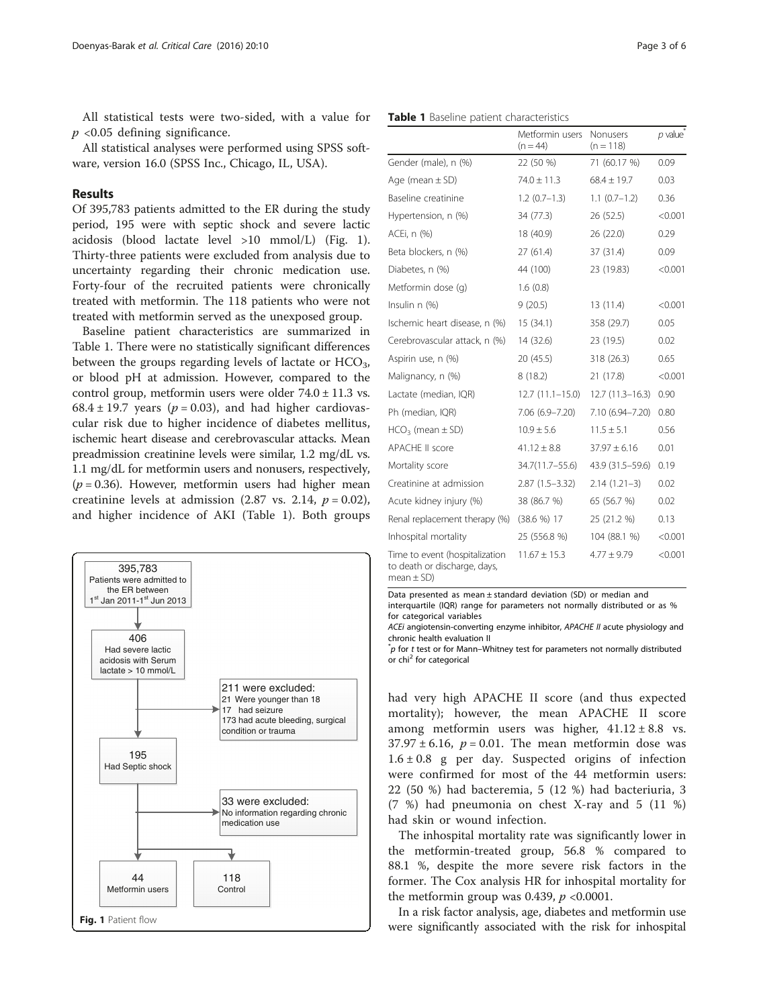All statistical tests were two-sided, with a value for  $p$  <0.05 defining significance.

All statistical analyses were performed using SPSS software, version 16.0 (SPSS Inc., Chicago, IL, USA).

## Results

Of 395,783 patients admitted to the ER during the study period, 195 were with septic shock and severe lactic acidosis (blood lactate level >10 mmol/L) (Fig. 1). Thirty-three patients were excluded from analysis due to uncertainty regarding their chronic medication use. Forty-four of the recruited patients were chronically treated with metformin. The 118 patients who were not treated with metformin served as the unexposed group.

Baseline patient characteristics are summarized in Table 1. There were no statistically significant differences between the groups regarding levels of lactate or  $HCO<sub>3</sub>$ , or blood pH at admission. However, compared to the control group, metformin users were older  $74.0 \pm 11.3$  vs. 68.4  $\pm$  19.7 years ( $p = 0.03$ ), and had higher cardiovascular risk due to higher incidence of diabetes mellitus, ischemic heart disease and cerebrovascular attacks. Mean preadmission creatinine levels were similar, 1.2 mg/dL vs. 1.1 mg/dL for metformin users and nonusers, respectively,  $(p = 0.36)$ . However, metformin users had higher mean creatinine levels at admission (2.87 vs. 2.14,  $p = 0.02$ ), and higher incidence of AKI (Table 1). Both groups



|                                                                               | $(n = 44)$          | $(n = 118)$         |         |
|-------------------------------------------------------------------------------|---------------------|---------------------|---------|
| Gender (male), n (%)                                                          | 22 (50 %)           | 71 (60.17 %)        | 0.09    |
| Age (mean $\pm$ SD)                                                           | $74.0 \pm 11.3$     | $68.4 \pm 19.7$     | 0.03    |
| Baseline creatinine                                                           | $1.2(0.7-1.3)$      | $1.1(0.7-1.2)$      | 0.36    |
| Hypertension, n (%)                                                           | 34 (77.3)           | 26 (52.5)           | < 0.001 |
| ACEi, n (%)                                                                   | 18 (40.9)           | 26 (22.0)           | 0.29    |
| Beta blockers, n (%)                                                          | 27(61.4)            | 37 (31.4)           | 0.09    |
| Diabetes, n (%)                                                               | 44 (100)            | 23 (19.83)          | < 0.001 |
| Metformin dose (q)                                                            | 1.6(0.8)            |                     |         |
| Insulin n (%)                                                                 | 9(20.5)             | 13 (11.4)           | < 0.001 |
| Ischemic heart disease, n (%)                                                 | 15 (34.1)           | 358 (29.7)          | 0.05    |
| Cerebrovascular attack, n (%)                                                 | 14 (32.6)           | 23 (19.5)           | 0.02    |
| Aspirin use, n (%)                                                            | 20 (45.5)           | 318 (26.3)          | 0.65    |
| Malignancy, n (%)                                                             | 8(18.2)             | 21 (17.8)           | < 0.001 |
| Lactate (median, IQR)                                                         | $12.7(11.1 - 15.0)$ | $12.7(11.3 - 16.3)$ | 0.90    |
| Ph (median, IQR)                                                              | 7.06 (6.9-7.20)     | 7.10 (6.94-7.20)    | 0.80    |
| $HCO3$ (mean $\pm$ SD)                                                        | $10.9 \pm 5.6$      | $11.5 \pm 5.1$      | 0.56    |
| <b>APACHE II score</b>                                                        | $41.12 \pm 8.8$     | $37.97 \pm 6.16$    | 0.01    |
| Mortality score                                                               | 34.7(11.7-55.6)     | 43.9 (31.5-59.6)    | 0.19    |
| Creatinine at admission                                                       | $2.87(1.5-3.32)$    | $2.14(1.21-3)$      | 0.02    |
| Acute kidney injury (%)                                                       | 38 (86.7 %)         | 65 (56.7 %)         | 0.02    |
| Renal replacement therapy (%)                                                 | $(38.6 %)$ 17       | 25 (21.2 %)         | 0.13    |
| Inhospital mortality                                                          | 25 (556.8 %)        | 104 (88.1 %)        | < 0.001 |
| Time to event (hospitalization<br>to death or discharge, days,<br>$mean + SD$ | $11.67 \pm 15.3$    | $4.77 \pm 9.79$     | < 0.001 |

Metformin users Nonusers

Data presented as mean ± standard deviation (SD) or median and

interquartile (IQR) range for parameters not normally distributed or as %

for categorical variables ACEi angiotensin-converting enzyme inhibitor, APACHE II acute physiology and chronic health evaluation II

 $p^*$ p for t test or for Mann–Whitney test for parameters not normally distributed or chi<sup>2</sup> for categorical

had very high APACHE II score (and thus expected mortality); however, the mean APACHE II score among metformin users was higher,  $41.12 \pm 8.8$  vs.  $37.97 \pm 6.16$ ,  $p = 0.01$ . The mean metformin dose was  $1.6 \pm 0.8$  g per day. Suspected origins of infection were confirmed for most of the 44 metformin users: 22 (50 %) had bacteremia, 5 (12 %) had bacteriuria, 3 (7 %) had pneumonia on chest X-ray and 5 (11 %) had skin or wound infection.

The inhospital mortality rate was significantly lower in the metformin-treated group, 56.8 % compared to 88.1 %, despite the more severe risk factors in the former. The Cox analysis HR for inhospital mortality for the metformin group was 0.439,  $p \le 0.0001$ .

In a risk factor analysis, age, diabetes and metformin use were significantly associated with the risk for inhospital

p value\*

#### Table 1 Baseline patient characteristics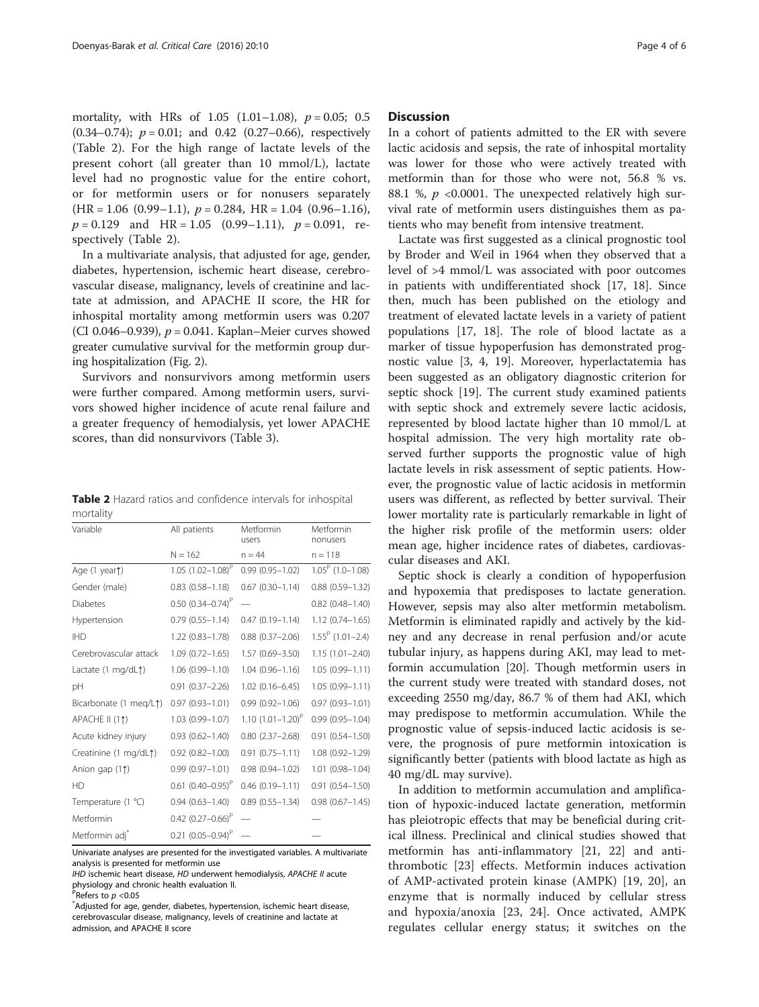mortality, with HRs of  $1.05$  (1.01–1.08),  $p = 0.05$ ; 0.5  $(0.34-0.74); p = 0.01;$  and 0.42  $(0.27-0.66)$ , respectively (Table 2). For the high range of lactate levels of the present cohort (all greater than 10 mmol/L), lactate level had no prognostic value for the entire cohort, or for metformin users or for nonusers separately  $(HR = 1.06 (0.99-1.1), p = 0.284, HR = 1.04 (0.96-1.16),$  $p = 0.129$  and HR = 1.05 (0.99–1.11),  $p = 0.091$ , respectively (Table 2).

In a multivariate analysis, that adjusted for age, gender, diabetes, hypertension, ischemic heart disease, cerebrovascular disease, malignancy, levels of creatinine and lactate at admission, and APACHE II score, the HR for inhospital mortality among metformin users was 0.207 (CI 0.046–0.939),  $p = 0.041$ . Kaplan–Meier curves showed greater cumulative survival for the metformin group during hospitalization (Fig. [2](#page-4-0)).

Survivors and nonsurvivors among metformin users were further compared. Among metformin users, survivors showed higher incidence of acute renal failure and a greater frequency of hemodialysis, yet lower APACHE scores, than did nonsurvivors (Table [3\)](#page-4-0).

Table 2 Hazard ratios and confidence intervals for inhospital mortality

| Variable                   | All patients                    | Metformin<br>users     | Metformin<br>nonusers     |
|----------------------------|---------------------------------|------------------------|---------------------------|
|                            | $N = 162$                       | $n = 44$               | $n = 118$                 |
| Age (1 year)               | 1.05 $(1.02 - 1.08)^P$          | $0.99(0.95 - 1.02)$    | $1.05^P$ (1.0-1.08)       |
| Gender (male)              | $0.83$ $(0.58 - 1.18)$          | $0.67$ $(0.30-1.14)$   | $0.88$ $(0.59 - 1.32)$    |
| <b>Diabetes</b>            | $0.50$ $(0.34 - 0.74)^P$        |                        | $0.82$ $(0.48 - 1.40)$    |
| Hypertension               | $0.79(0.55 - 1.14)$             | $0.47(0.19 - 1.14)$    | $1.12(0.74 - 1.65)$       |
| <b>IHD</b>                 | $1.22(0.83 - 1.78)$             | $0.88$ $(0.37 - 2.06)$ | $1.55^{\circ}$ (1.01-2.4) |
| Cerebrovascular attack     | $1.09(0.72 - 1.65)$             | $1.57(0.69 - 3.50)$    | $1.15(1.01 - 2.40)$       |
| Lactate (1 mg/dL↑)         | $1.06(0.99 - 1.10)$             | $1.04(0.96 - 1.16)$    | 1.05 (0.99-1.11)          |
| pH                         | $0.91(0.37 - 2.26)$             | $1.02(0.16 - 6.45)$    | 1.05 (0.99-1.11)          |
| Bicarbonate (1 meg/L1)     | $0.97(0.93 - 1.01)$             | $0.99(0.92 - 1.06)$    | $0.97(0.93 - 1.01)$       |
| APACHE II (11)             | $1.03(0.99 - 1.07)$             | 1.10 $(1.01 - 1.20)^P$ | $0.99(0.95 - 1.04)$       |
| Acute kidney injury        | $0.93(0.62 - 1.40)$             | $0.80$ $(2.37 - 2.68)$ | $0.91(0.54 - 1.50)$       |
| Creatinine (1 mg/dL1)      | $0.92(0.82 - 1.00)$             | $0.91(0.75 - 1.11)$    | 1.08 (0.92-1.29)          |
| Anion gap (11)             | $0.99(0.97 - 1.01)$             | $0.98(0.94 - 1.02)$    | 1.01 (0.98-1.04)          |
| HD                         | $0.61$ (0.40-0.95) <sup>P</sup> | $0.46(0.19 - 1.11)$    | $0.91(0.54 - 1.50)$       |
| Temperature (1 °C)         | $0.94(0.63 - 1.40)$             | $0.89(0.55 - 1.34)$    | $0.98(0.67 - 1.45)$       |
| Metformin                  | $0.42$ (0.27-0.66) <sup>P</sup> |                        |                           |
| Metformin adj <sup>*</sup> | $0.21 (0.05 - 0.94)^P$          |                        |                           |

Univariate analyses are presented for the investigated variables. A multivariate analysis is presented for metformin use

## **Discussion**

In a cohort of patients admitted to the ER with severe lactic acidosis and sepsis, the rate of inhospital mortality was lower for those who were actively treated with metformin than for those who were not, 56.8 % vs. 88.1 %,  $p \leq 0.0001$ . The unexpected relatively high survival rate of metformin users distinguishes them as patients who may benefit from intensive treatment.

Lactate was first suggested as a clinical prognostic tool by Broder and Weil in 1964 when they observed that a level of >4 mmol/L was associated with poor outcomes in patients with undifferentiated shock [[17](#page-5-0), [18](#page-5-0)]. Since then, much has been published on the etiology and treatment of elevated lactate levels in a variety of patient populations [[17, 18](#page-5-0)]. The role of blood lactate as a marker of tissue hypoperfusion has demonstrated prognostic value [[3, 4](#page-5-0), [19](#page-5-0)]. Moreover, hyperlactatemia has been suggested as an obligatory diagnostic criterion for septic shock [\[19\]](#page-5-0). The current study examined patients with septic shock and extremely severe lactic acidosis, represented by blood lactate higher than 10 mmol/L at hospital admission. The very high mortality rate observed further supports the prognostic value of high lactate levels in risk assessment of septic patients. However, the prognostic value of lactic acidosis in metformin users was different, as reflected by better survival. Their lower mortality rate is particularly remarkable in light of the higher risk profile of the metformin users: older mean age, higher incidence rates of diabetes, cardiovascular diseases and AKI.

Septic shock is clearly a condition of hypoperfusion and hypoxemia that predisposes to lactate generation. However, sepsis may also alter metformin metabolism. Metformin is eliminated rapidly and actively by the kidney and any decrease in renal perfusion and/or acute tubular injury, as happens during AKI, may lead to metformin accumulation [\[20\]](#page-5-0). Though metformin users in the current study were treated with standard doses, not exceeding 2550 mg/day, 86.7 % of them had AKI, which may predispose to metformin accumulation. While the prognostic value of sepsis-induced lactic acidosis is severe, the prognosis of pure metformin intoxication is significantly better (patients with blood lactate as high as 40 mg/dL may survive).

In addition to metformin accumulation and amplification of hypoxic-induced lactate generation, metformin has pleiotropic effects that may be beneficial during critical illness. Preclinical and clinical studies showed that metformin has anti-inflammatory [\[21](#page-5-0), [22\]](#page-5-0) and antithrombotic [[23\]](#page-5-0) effects. Metformin induces activation of AMP-activated protein kinase (AMPK) [\[19](#page-5-0), [20\]](#page-5-0), an enzyme that is normally induced by cellular stress and hypoxia/anoxia [[23, 24\]](#page-5-0). Once activated, AMPK regulates cellular energy status; it switches on the

IHD ischemic heart disease, HD underwent hemodialysis, APACHE II acute physiology and chronic health evaluation II.

PRefers to  $p < 0.05$ <br>Adjusted for 200

Adjusted for age, gender, diabetes, hypertension, ischemic heart disease, cerebrovascular disease, malignancy, levels of creatinine and lactate at admission, and APACHE II score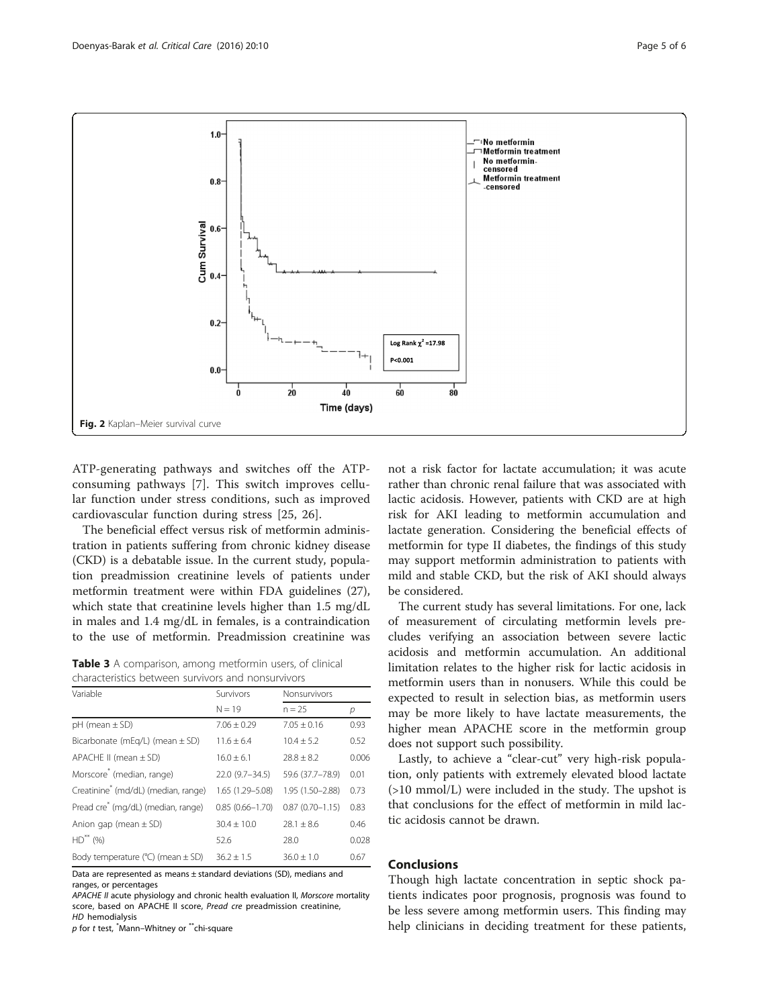<span id="page-4-0"></span>

ATP-generating pathways and switches off the ATPconsuming pathways [[7\]](#page-5-0). This switch improves cellular function under stress conditions, such as improved cardiovascular function during stress [[25, 26](#page-5-0)].

The beneficial effect versus risk of metformin administration in patients suffering from chronic kidney disease (CKD) is a debatable issue. In the current study, population preadmission creatinine levels of patients under metformin treatment were within FDA guidelines (27), which state that creatinine levels higher than 1.5 mg/dL in males and 1.4 mg/dL in females, is a contraindication to the use of metformin. Preadmission creatinine was

Table 3 A comparison, among metformin users, of clinical characteristics between survivors and nonsurvivors

| Variable                                        | Survivors           | Nonsurvivors        |       |
|-------------------------------------------------|---------------------|---------------------|-------|
|                                                 | $N = 19$            | $n = 25$            | р     |
| $pH$ (mean $\pm$ SD)                            | $7.06 \pm 0.29$     | $7.05 + 0.16$       | 0.93  |
| Bicarbonate (mEg/L) (mean $\pm$ SD)             | $11.6 + 6.4$        | $10.4 + 5.2$        | 0.52  |
| APACHE II (mean $\pm$ SD)                       | $16.0 \pm 6.1$      | $28.8 \pm 8.2$      | 0.006 |
| Morscore <sup>®</sup> (median, range)           | 22.0 (9.7-34.5)     | 59.6 (37.7-78.9)    | 0.01  |
| Creatinine <sup>®</sup> (md/dL) (median, range) | 1.65 (1.29-5.08)    | 1.95 (1.50-2.88)    | 0.73  |
| Pread cre <sup>*</sup> (mg/dL) (median, range)  | $0.85(0.66 - 1.70)$ | $0.87(0.70 - 1.15)$ | 0.83  |
| Anion gap (mean $\pm$ SD)                       | $30.4 + 10.0$       | $28.1 + 8.6$        | 0.46  |
| $HD$ <sup>**</sup> (%)                          | 52.6                | 28.0                | 0.028 |
| Body temperature ( $°C$ ) (mean $\pm$ SD)       | $36.2 + 1.5$        | $36.0 + 1.0$        | 0.67  |

Data are represented as means ± standard deviations (SD), medians and ranges, or percentages

APACHE II acute physiology and chronic health evaluation II, Morscore mortality score, based on APACHE II score, Pread cre preadmission creatinine, HD hemodialysis

p for t test, \* Mann–Whitney or \*\*chi-square

not a risk factor for lactate accumulation; it was acute rather than chronic renal failure that was associated with lactic acidosis. However, patients with CKD are at high risk for AKI leading to metformin accumulation and lactate generation. Considering the beneficial effects of metformin for type II diabetes, the findings of this study may support metformin administration to patients with mild and stable CKD, but the risk of AKI should always be considered.

The current study has several limitations. For one, lack of measurement of circulating metformin levels precludes verifying an association between severe lactic acidosis and metformin accumulation. An additional limitation relates to the higher risk for lactic acidosis in metformin users than in nonusers. While this could be expected to result in selection bias, as metformin users may be more likely to have lactate measurements, the higher mean APACHE score in the metformin group does not support such possibility.

Lastly, to achieve a "clear-cut" very high-risk population, only patients with extremely elevated blood lactate (>10 mmol/L) were included in the study. The upshot is that conclusions for the effect of metformin in mild lactic acidosis cannot be drawn.

## Conclusions

Though high lactate concentration in septic shock patients indicates poor prognosis, prognosis was found to be less severe among metformin users. This finding may help clinicians in deciding treatment for these patients,